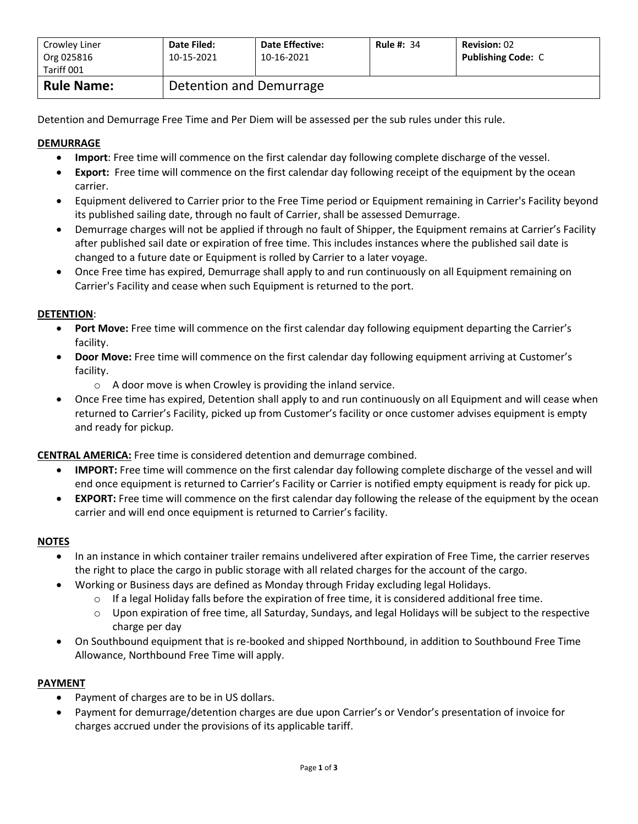| Crowley Liner<br>Org 025816<br>Tariff 001 | Date Filed:<br>10-15-2021 | <b>Date Effective:</b><br>10-16-2021 | <b>Rule #: 34</b> | <b>Revision: 02</b><br><b>Publishing Code: C</b> |
|-------------------------------------------|---------------------------|--------------------------------------|-------------------|--------------------------------------------------|
| <b>Rule Name:</b>                         | Detention and Demurrage   |                                      |                   |                                                  |

Detention and Demurrage Free Time and Per Diem will be assessed per the sub rules under this rule.

# **DEMURRAGE**

- **Import**: Free time will commence on the first calendar day following complete discharge of the vessel.
- **Export:** Free time will commence on the first calendar day following receipt of the equipment by the ocean carrier.
- Equipment delivered to Carrier prior to the Free Time period or Equipment remaining in Carrier's Facility beyond its published sailing date, through no fault of Carrier, shall be assessed Demurrage.
- Demurrage charges will not be applied if through no fault of Shipper, the Equipment remains at Carrier's Facility after published sail date or expiration of free time. This includes instances where the published sail date is changed to a future date or Equipment is rolled by Carrier to a later voyage.
- Once Free time has expired, Demurrage shall apply to and run continuously on all Equipment remaining on Carrier's Facility and cease when such Equipment is returned to the port.

## **DETENTION**:

- **Port Move:** Free time will commence on the first calendar day following equipment departing the Carrier's facility.
- **Door Move:** Free time will commence on the first calendar day following equipment arriving at Customer's facility.
	- $\circ$  A door move is when Crowley is providing the inland service.
- Once Free time has expired, Detention shall apply to and run continuously on all Equipment and will cease when returned to Carrier's Facility, picked up from Customer's facility or once customer advises equipment is empty and ready for pickup.

**CENTRAL AMERICA:** Free time is considered detention and demurrage combined.

- **IMPORT:** Free time will commence on the first calendar day following complete discharge of the vessel and will end once equipment is returned to Carrier's Facility or Carrier is notified empty equipment is ready for pick up.
- **EXPORT:** Free time will commence on the first calendar day following the release of the equipment by the ocean carrier and will end once equipment is returned to Carrier's facility.

### **NOTES**

- In an instance in which container trailer remains undelivered after expiration of Free Time, the carrier reserves the right to place the cargo in public storage with all related charges for the account of the cargo.
- Working or Business days are defined as Monday through Friday excluding legal Holidays.
	- $\circ$  If a legal Holiday falls before the expiration of free time, it is considered additional free time.
	- o Upon expiration of free time, all Saturday, Sundays, and legal Holidays will be subject to the respective charge per day
- On Southbound equipment that is re-booked and shipped Northbound, in addition to Southbound Free Time Allowance, Northbound Free Time will apply.

### **PAYMENT**

- Payment of charges are to be in US dollars.
- Payment for demurrage/detention charges are due upon Carrier's or Vendor's presentation of invoice for charges accrued under the provisions of its applicable tariff.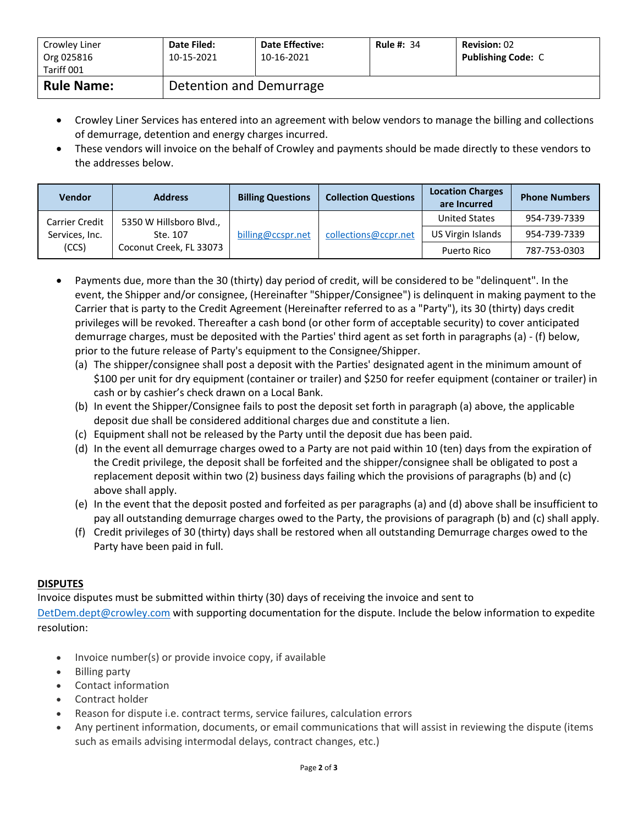| Crowley Liner<br>Org 025816<br>Tariff 001 | Date Filed:<br>10-15-2021 | <b>Date Effective:</b><br>10-16-2021 | <b>Rule #: 34</b> | <b>Revision: 02</b><br><b>Publishing Code: C</b> |
|-------------------------------------------|---------------------------|--------------------------------------|-------------------|--------------------------------------------------|
| <b>Rule Name:</b>                         | Detention and Demurrage   |                                      |                   |                                                  |

- Crowley Liner Services has entered into an agreement with below vendors to manage the billing and collections of demurrage, detention and energy charges incurred.
- These vendors will invoice on the behalf of Crowley and payments should be made directly to these vendors to the addresses below.

| <b>Vendor</b>  | <b>Address</b>                                                                            | <b>Billing Questions</b> | <b>Collection Questions</b> | <b>Location Charges</b><br>are Incurred | <b>Phone Numbers</b> |
|----------------|-------------------------------------------------------------------------------------------|--------------------------|-----------------------------|-----------------------------------------|----------------------|
| Carrier Credit | 5350 W Hillsboro Blvd.,<br>Services, Inc.<br>Ste. 107<br>(CCS)<br>Coconut Creek, FL 33073 | billing@ccspr.net        | collections@ccpr.net        | <b>United States</b>                    | 954-739-7339         |
|                |                                                                                           |                          |                             | US Virgin Islands                       | 954-739-7339         |
|                |                                                                                           |                          |                             | Puerto Rico                             | 787-753-0303         |

- Payments due, more than the 30 (thirty) day period of credit, will be considered to be "delinquent". In the event, the Shipper and/or consignee, (Hereinafter "Shipper/Consignee") is delinquent in making payment to the Carrier that is party to the Credit Agreement (Hereinafter referred to as a "Party"), its 30 (thirty) days credit privileges will be revoked. Thereafter a cash bond (or other form of acceptable security) to cover anticipated demurrage charges, must be deposited with the Parties' third agent as set forth in paragraphs (a) - (f) below, prior to the future release of Party's equipment to the Consignee/Shipper.
	- (a) The shipper/consignee shall post a deposit with the Parties' designated agent in the minimum amount of \$100 per unit for dry equipment (container or trailer) and \$250 for reefer equipment (container or trailer) in cash or by cashier's check drawn on a Local Bank.
	- (b) In event the Shipper/Consignee fails to post the deposit set forth in paragraph (a) above, the applicable deposit due shall be considered additional charges due and constitute a lien.
	- (c) Equipment shall not be released by the Party until the deposit due has been paid.
	- (d) In the event all demurrage charges owed to a Party are not paid within 10 (ten) days from the expiration of the Credit privilege, the deposit shall be forfeited and the shipper/consignee shall be obligated to post a replacement deposit within two (2) business days failing which the provisions of paragraphs (b) and (c) above shall apply.
	- (e) In the event that the deposit posted and forfeited as per paragraphs (a) and (d) above shall be insufficient to pay all outstanding demurrage charges owed to the Party, the provisions of paragraph (b) and (c) shall apply.
	- (f) Credit privileges of 30 (thirty) days shall be restored when all outstanding Demurrage charges owed to the Party have been paid in full.

# **DISPUTES**

Invoice disputes must be submitted within thirty (30) days of receiving the invoice and sent to [DetDem.dept@crowley.com](mailto:DetDem.dept@crowley.com) with supporting documentation for the dispute. Include the below information to expedite resolution:

- Invoice number(s) or provide invoice copy, if available
- Billing party
- Contact information
- Contract holder
- Reason for dispute i.e. contract terms, service failures, calculation errors
- Any pertinent information, documents, or email communications that will assist in reviewing the dispute (items such as emails advising intermodal delays, contract changes, etc.)